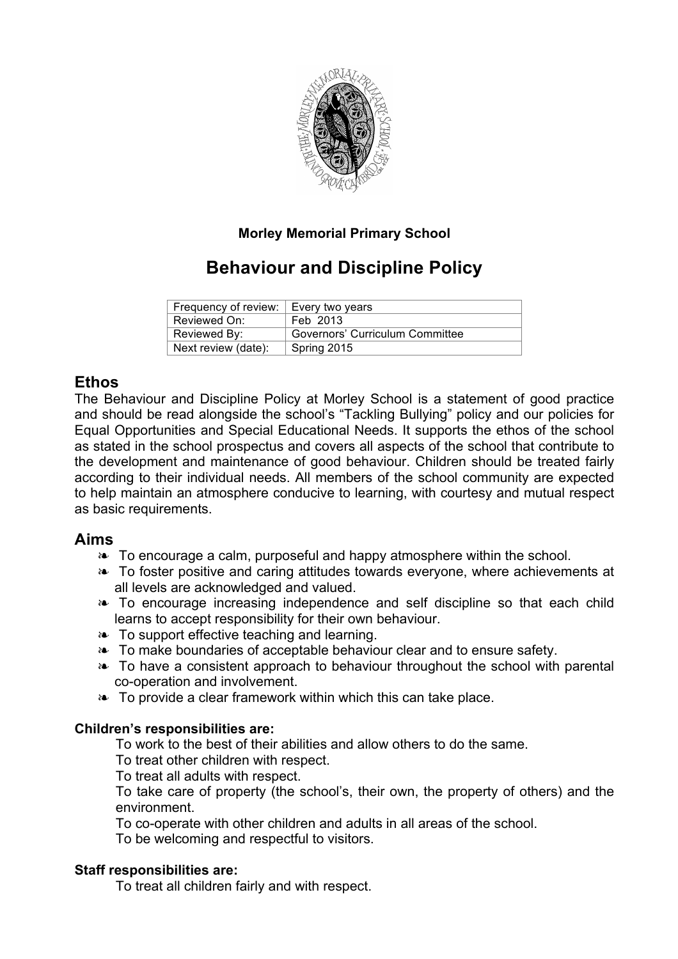

# **Morley Memorial Primary School**

# **Behaviour and Discipline Policy**

| Frequency of review:   Every two years |                                 |
|----------------------------------------|---------------------------------|
| Reviewed On:                           | Feb 2013                        |
| Reviewed By:                           | Governors' Curriculum Committee |
| Next review (date):                    | Spring 2015                     |

# **Ethos**

The Behaviour and Discipline Policy at Morley School is a statement of good practice and should be read alongside the school's "Tackling Bullying" policy and our policies for Equal Opportunities and Special Educational Needs. It supports the ethos of the school as stated in the school prospectus and covers all aspects of the school that contribute to the development and maintenance of good behaviour. Children should be treated fairly according to their individual needs. All members of the school community are expected to help maintain an atmosphere conducive to learning, with courtesy and mutual respect as basic requirements.

## **Aims**

- ❧ To encourage a calm, purposeful and happy atmosphere within the school.
- ❧ To foster positive and caring attitudes towards everyone, where achievements at all levels are acknowledged and valued.
- ❧ To encourage increasing independence and self discipline so that each child learns to accept responsibility for their own behaviour.
- ❧ To support effective teaching and learning.
- ❧ To make boundaries of acceptable behaviour clear and to ensure safety.
- ❧ To have a consistent approach to behaviour throughout the school with parental co-operation and involvement.
- ❧ To provide a clear framework within which this can take place.

## **Children's responsibilities are:**

To work to the best of their abilities and allow others to do the same.

To treat other children with respect.

To treat all adults with respect.

To take care of property (the school's, their own, the property of others) and the environment.

To co-operate with other children and adults in all areas of the school.

To be welcoming and respectful to visitors.

## **Staff responsibilities are:**

To treat all children fairly and with respect.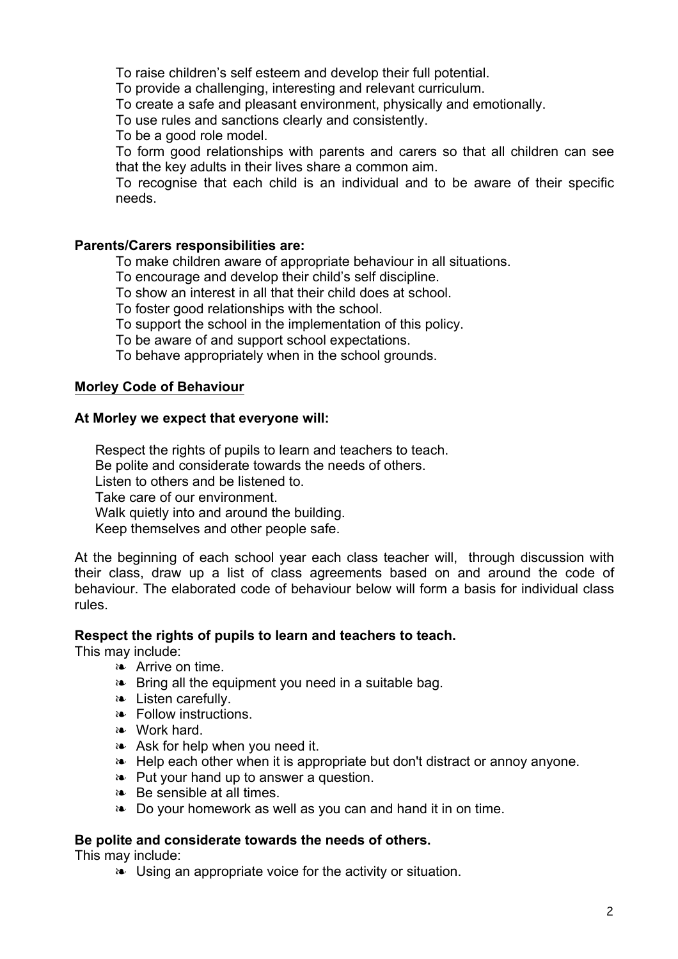To raise children's self esteem and develop their full potential.

To provide a challenging, interesting and relevant curriculum.

To create a safe and pleasant environment, physically and emotionally.

To use rules and sanctions clearly and consistently.

To be a good role model.

To form good relationships with parents and carers so that all children can see that the key adults in their lives share a common aim.

To recognise that each child is an individual and to be aware of their specific needs.

### **Parents/Carers responsibilities are:**

To make children aware of appropriate behaviour in all situations.

To encourage and develop their child's self discipline.

To show an interest in all that their child does at school.

To foster good relationships with the school.

To support the school in the implementation of this policy.

To be aware of and support school expectations.

To behave appropriately when in the school grounds.

## **Morley Code of Behaviour**

#### **At Morley we expect that everyone will:**

Respect the rights of pupils to learn and teachers to teach. Be polite and considerate towards the needs of others. Listen to others and be listened to. Take care of our environment. Walk quietly into and around the building. Keep themselves and other people safe.

At the beginning of each school year each class teacher will, through discussion with their class, draw up a list of class agreements based on and around the code of behaviour. The elaborated code of behaviour below will form a basis for individual class rules.

### **Respect the rights of pupils to learn and teachers to teach.**

This may include:

- ❧ Arrive on time.
- ❧ Bring all the equipment you need in a suitable bag.
- ❧ Listen carefully.
- ❧ Follow instructions.
- ❧ Work hard.
- ❧ Ask for help when you need it.
- ❧ Help each other when it is appropriate but don't distract or annoy anyone.
- ❧ Put your hand up to answer a question.
- ❧ Be sensible at all times.
- ❧ Do your homework as well as you can and hand it in on time.

### **Be polite and considerate towards the needs of others.**

This may include:

❧ Using an appropriate voice for the activity or situation.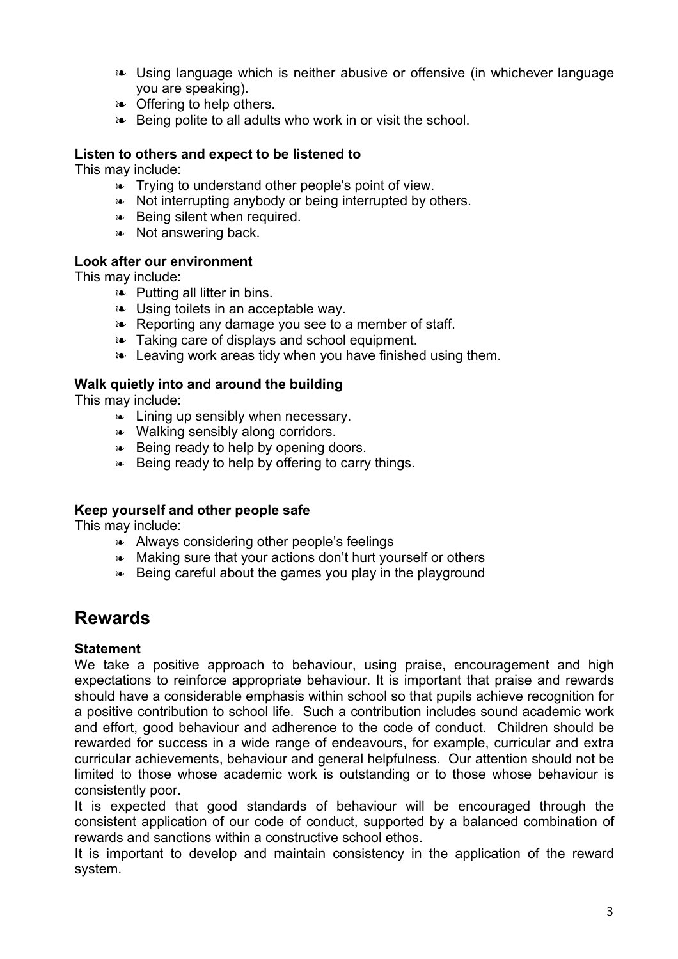- ❧ Using language which is neither abusive or offensive (in whichever language you are speaking).
- ❧ Offering to help others.
- ❧ Being polite to all adults who work in or visit the school.

### **Listen to others and expect to be listened to**

This may include:

- ❧ Trying to understand other people's point of view.
- ❧ Not interrupting anybody or being interrupted by others.
- ❧ Being silent when required.
- ❧ Not answering back.

### **Look after our environment**

This may include:

- ❧ Putting all litter in bins.
- ❧ Using toilets in an acceptable way.
- ❧ Reporting any damage you see to a member of staff.
- ❧ Taking care of displays and school equipment.
- ❧ Leaving work areas tidy when you have finished using them.

## **Walk quietly into and around the building**

This may include:

- ❧ Lining up sensibly when necessary.
- ❧ Walking sensibly along corridors.
- ❧ Being ready to help by opening doors.
- ❧ Being ready to help by offering to carry things.

## **Keep yourself and other people safe**

This may include:

- ❧ Always considering other people's feelings
- ❧ Making sure that your actions don't hurt yourself or others
- ❧ Being careful about the games you play in the playground

# **Rewards**

### **Statement**

We take a positive approach to behaviour, using praise, encouragement and high expectations to reinforce appropriate behaviour. It is important that praise and rewards should have a considerable emphasis within school so that pupils achieve recognition for a positive contribution to school life. Such a contribution includes sound academic work and effort, good behaviour and adherence to the code of conduct. Children should be rewarded for success in a wide range of endeavours, for example, curricular and extra curricular achievements, behaviour and general helpfulness. Our attention should not be limited to those whose academic work is outstanding or to those whose behaviour is consistently poor.

It is expected that good standards of behaviour will be encouraged through the consistent application of our code of conduct, supported by a balanced combination of rewards and sanctions within a constructive school ethos.

It is important to develop and maintain consistency in the application of the reward system.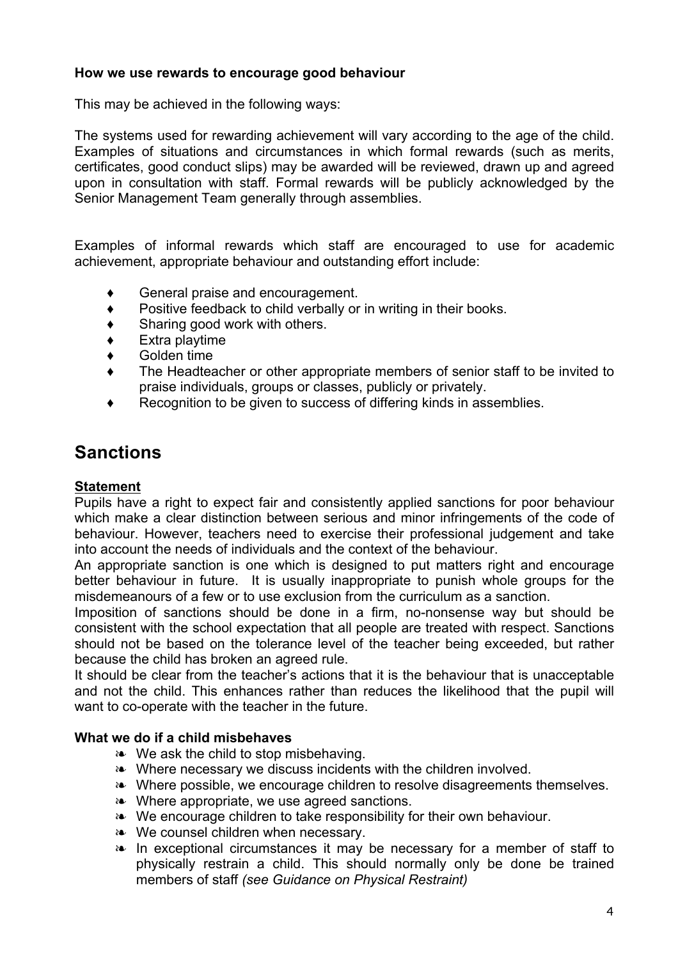## **How we use rewards to encourage good behaviour**

This may be achieved in the following ways:

The systems used for rewarding achievement will vary according to the age of the child. Examples of situations and circumstances in which formal rewards (such as merits, certificates, good conduct slips) may be awarded will be reviewed, drawn up and agreed upon in consultation with staff. Formal rewards will be publicly acknowledged by the Senior Management Team generally through assemblies.

Examples of informal rewards which staff are encouraged to use for academic achievement, appropriate behaviour and outstanding effort include:

- ♦ General praise and encouragement.
- ♦ Positive feedback to child verbally or in writing in their books.
- $\bullet$  Sharing good work with others.
- ♦ Extra playtime
- ♦ Golden time
- ♦ The Headteacher or other appropriate members of senior staff to be invited to praise individuals, groups or classes, publicly or privately.
- Recognition to be given to success of differing kinds in assemblies.

# **Sanctions**

### **Statement**

Pupils have a right to expect fair and consistently applied sanctions for poor behaviour which make a clear distinction between serious and minor infringements of the code of behaviour. However, teachers need to exercise their professional judgement and take into account the needs of individuals and the context of the behaviour.

An appropriate sanction is one which is designed to put matters right and encourage better behaviour in future. It is usually inappropriate to punish whole groups for the misdemeanours of a few or to use exclusion from the curriculum as a sanction.

Imposition of sanctions should be done in a firm, no-nonsense way but should be consistent with the school expectation that all people are treated with respect. Sanctions should not be based on the tolerance level of the teacher being exceeded, but rather because the child has broken an agreed rule.

It should be clear from the teacher's actions that it is the behaviour that is unacceptable and not the child. This enhances rather than reduces the likelihood that the pupil will want to co-operate with the teacher in the future.

### **What we do if a child misbehaves**

- ❧ We ask the child to stop misbehaving.
- ❧ Where necessary we discuss incidents with the children involved.
- ❧ Where possible, we encourage children to resolve disagreements themselves.
- ❧ Where appropriate, we use agreed sanctions.
- ❧ We encourage children to take responsibility for their own behaviour.
- ❧ We counsel children when necessary.
- ❧ In exceptional circumstances it may be necessary for a member of staff to physically restrain a child. This should normally only be done be trained members of staff *(see Guidance on Physical Restraint)*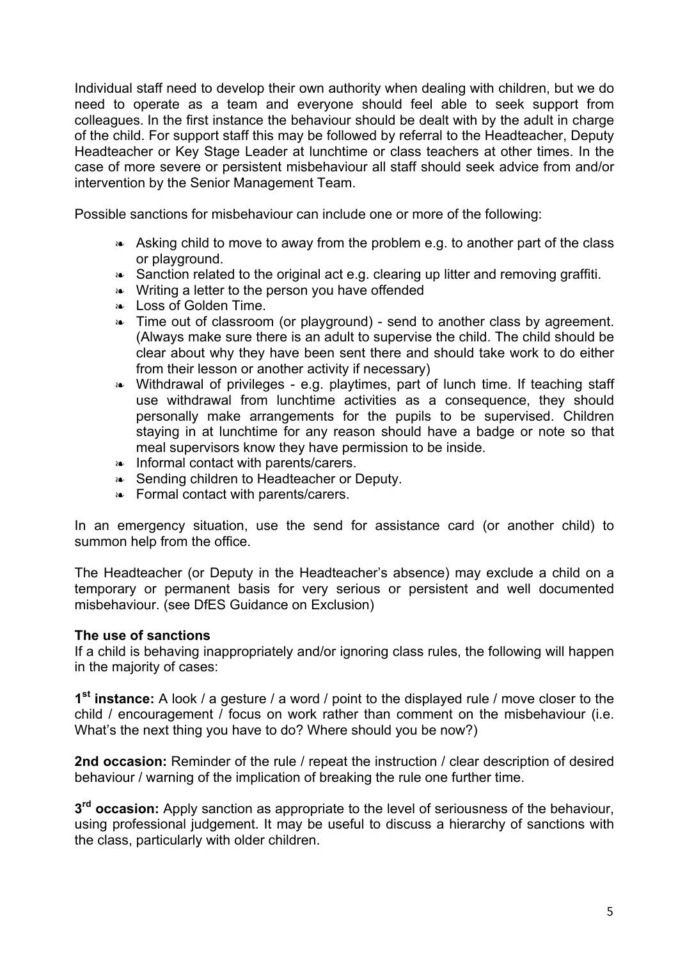Individual staff need to develop their own authority when dealing with children, but we do need to operate as a team and everyone should feel able to seek support from colleagues. In the first instance the behaviour should be dealt with by the adult in charge of the child. For support staff this may be followed by referral to the Headteacher, Deputy Headteacher or Key Stage Leader at lunchtime or class teachers at other times. In the case of more severe or persistent misbehaviour all staff should seek advice from and/or intervention by the Senior Management Team.

Possible sanctions for misbehaviour can include one or more of the following:

- ❧ Asking child to move to away from the problem e.g. to another part of the class or playground.
- ❧ Sanction related to the original act e.g. clearing up litter and removing graffiti.
- ❧ Writing a letter to the person you have offended
- ❧ Loss of Golden Time.
- ❧ Time out of classroom (or playground) send to another class by agreement. (Always make sure there is an adult to supervise the child. The child should be clear about why they have been sent there and should take work to do either from their lesson or another activity if necessary)
- ❧ Withdrawal of privileges e.g. playtimes, part of lunch time. If teaching staff use withdrawal from lunchtime activities as a consequence, they should personally make arrangements for the pupils to be supervised. Children staying in at lunchtime for any reason should have a badge or note so that meal supervisors know they have permission to be inside.
- ❧ Informal contact with parents/carers.
- ❧ Sending children to Headteacher or Deputy.
- ❧ Formal contact with parents/carers.

In an emergency situation, use the send for assistance card (or another child) to summon help from the office.

The Headteacher (or Deputy in the Headteacher's absence) may exclude a child on a temporary or permanent basis for very serious or persistent and well documented misbehaviour. (see DfES Guidance on Exclusion)

### **The use of sanctions**

If a child is behaving inappropriately and/or ignoring class rules, the following will happen in the majority of cases:

**1st instance:** A look / a gesture / a word / point to the displayed rule / move closer to the child / encouragement / focus on work rather than comment on the misbehaviour (i.e. What's the next thing you have to do? Where should you be now?)

**2nd occasion:** Reminder of the rule / repeat the instruction / clear description of desired behaviour / warning of the implication of breaking the rule one further time.

**3rd occasion:** Apply sanction as appropriate to the level of seriousness of the behaviour, using professional judgement. It may be useful to discuss a hierarchy of sanctions with the class, particularly with older children.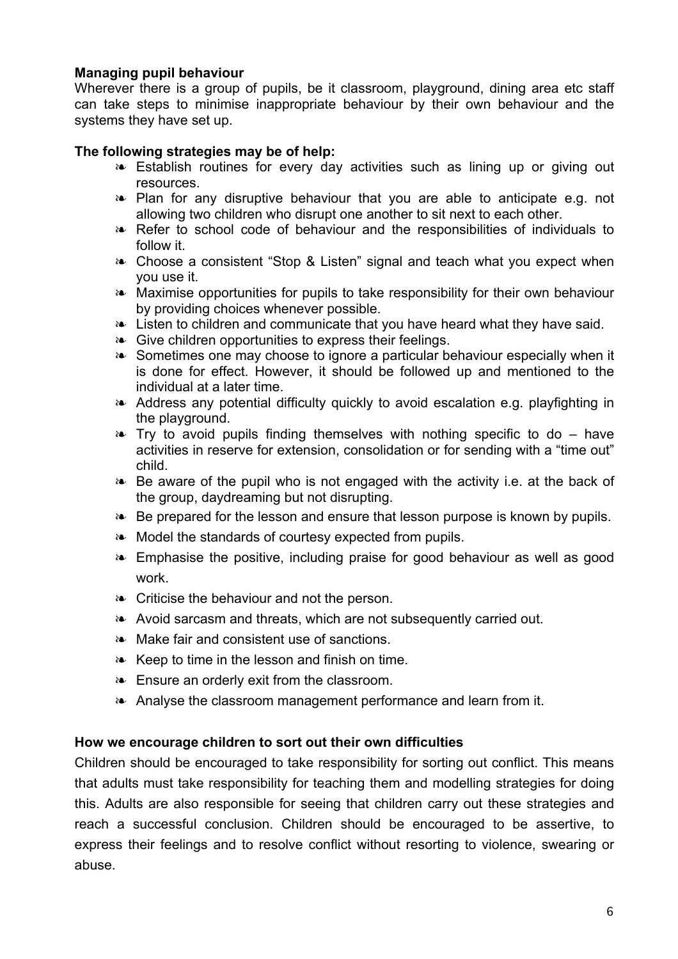## **Managing pupil behaviour**

Wherever there is a group of pupils, be it classroom, playground, dining area etc staff can take steps to minimise inappropriate behaviour by their own behaviour and the systems they have set up.

### **The following strategies may be of help:**

- ❧ Establish routines for every day activities such as lining up or giving out resources.
- ❧ Plan for any disruptive behaviour that you are able to anticipate e.g. not allowing two children who disrupt one another to sit next to each other.
- ❧ Refer to school code of behaviour and the responsibilities of individuals to follow it.
- ❧ Choose a consistent "Stop & Listen" signal and teach what you expect when you use it.
- ❧ Maximise opportunities for pupils to take responsibility for their own behaviour by providing choices whenever possible.
- ❧ Listen to children and communicate that you have heard what they have said.
- ❧ Give children opportunities to express their feelings.
- ❧ Sometimes one may choose to ignore a particular behaviour especially when it is done for effect. However, it should be followed up and mentioned to the individual at a later time.
- ❧ Address any potential difficulty quickly to avoid escalation e.g. playfighting in the playground.
- ❧ Try to avoid pupils finding themselves with nothing specific to do have activities in reserve for extension, consolidation or for sending with a "time out" child.
- ❧ Be aware of the pupil who is not engaged with the activity i.e. at the back of the group, daydreaming but not disrupting.
- ❧ Be prepared for the lesson and ensure that lesson purpose is known by pupils.
- ❧ Model the standards of courtesy expected from pupils.
- ❧ Emphasise the positive, including praise for good behaviour as well as good work.
- ❧ Criticise the behaviour and not the person.
- ❧ Avoid sarcasm and threats, which are not subsequently carried out.
- ❧ Make fair and consistent use of sanctions.
- ❧ Keep to time in the lesson and finish on time.
- ❧ Ensure an orderly exit from the classroom.
- ❧ Analyse the classroom management performance and learn from it.

### **How we encourage children to sort out their own difficulties**

Children should be encouraged to take responsibility for sorting out conflict. This means that adults must take responsibility for teaching them and modelling strategies for doing this. Adults are also responsible for seeing that children carry out these strategies and reach a successful conclusion. Children should be encouraged to be assertive, to express their feelings and to resolve conflict without resorting to violence, swearing or abuse.